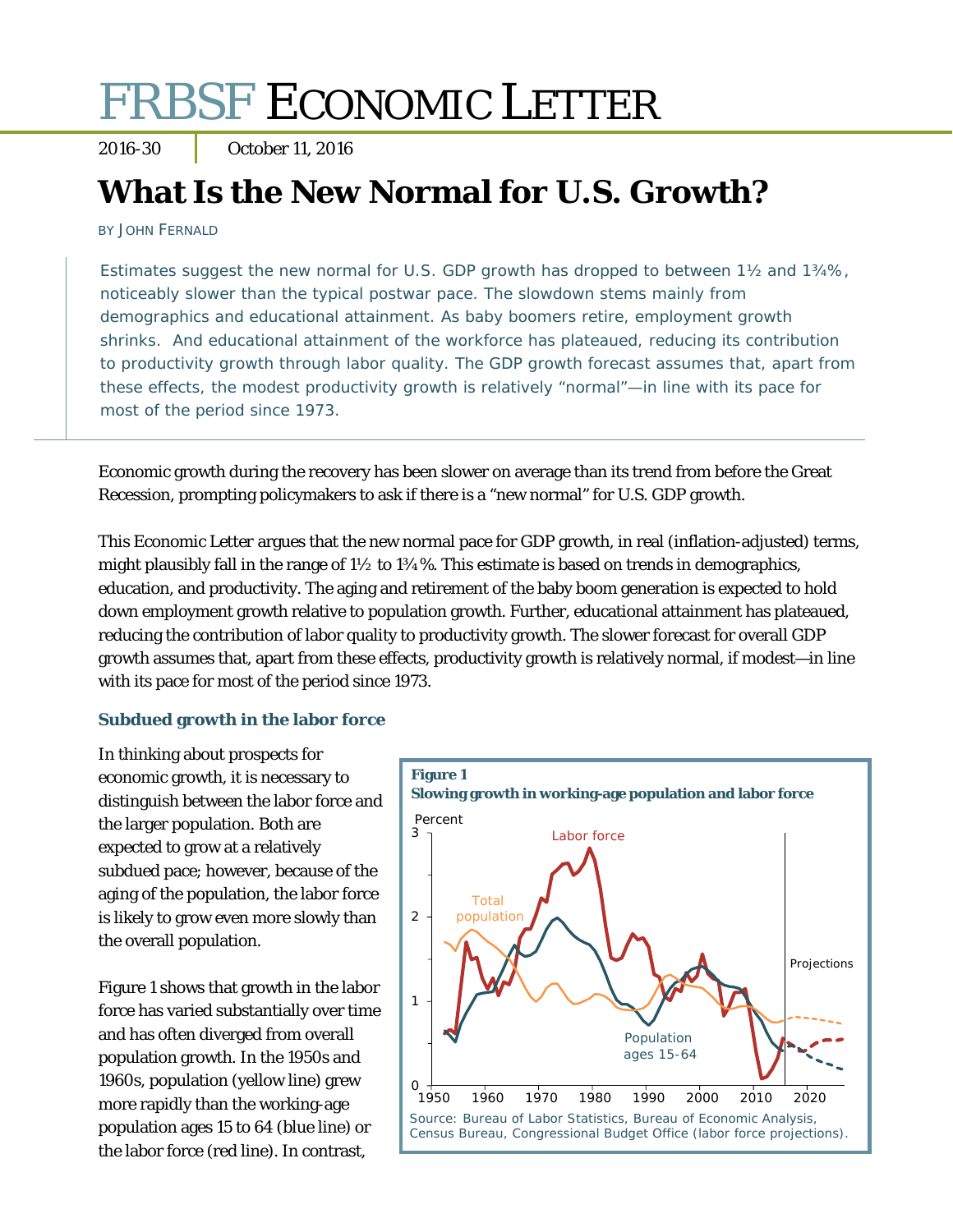# FRBSF ECONOMIC LETTER

2016-30 October 11, 2016

# **What Is the New Normal for U.S. Growth?**

BY JOHN FERNALD

Estimates suggest the new normal for U.S. GDP growth has dropped to between 1½ and 1¾%, noticeably slower than the typical postwar pace. The slowdown stems mainly from demographics and educational attainment. As baby boomers retire, employment growth shrinks. And educational attainment of the workforce has plateaued, reducing its contribution to productivity growth through labor quality. The GDP growth forecast assumes that, apart from these effects, the modest productivity growth is relatively "normal"—in line with its pace for most of the period since 1973.

Economic growth during the recovery has been slower on average than its trend from before the Great Recession, prompting policymakers to ask if there is a "new normal" for U.S. GDP growth.

This *Economic Letter* argues that the new normal pace for GDP growth, in real (inflation-adjusted) terms, might plausibly fall in the range of 1½ to 1¾%. This estimate is based on trends in demographics, education, and productivity. The aging and retirement of the baby boom generation is expected to hold down employment growth relative to population growth. Further, educational attainment has plateaued, reducing the contribution of labor quality to productivity growth. The slower forecast for overall GDP growth assumes that, apart from these effects, productivity growth is relatively normal, if modest—in line with its pace for most of the period since 1973.

#### **Subdued growth in the labor force**

In thinking about prospects for economic growth, it is necessary to distinguish between the labor force and the larger population. Both are expected to grow at a relatively subdued pace; however, because of the aging of the population, the labor force is likely to grow even more slowly than the overall population.

Figure 1 shows that growth in the labor force has varied substantially over time and has often diverged from overall population growth. In the 1950s and 1960s, population (yellow line) grew more rapidly than the working-age population ages 15 to 64 (blue line) or the labor force (red line). In contrast,

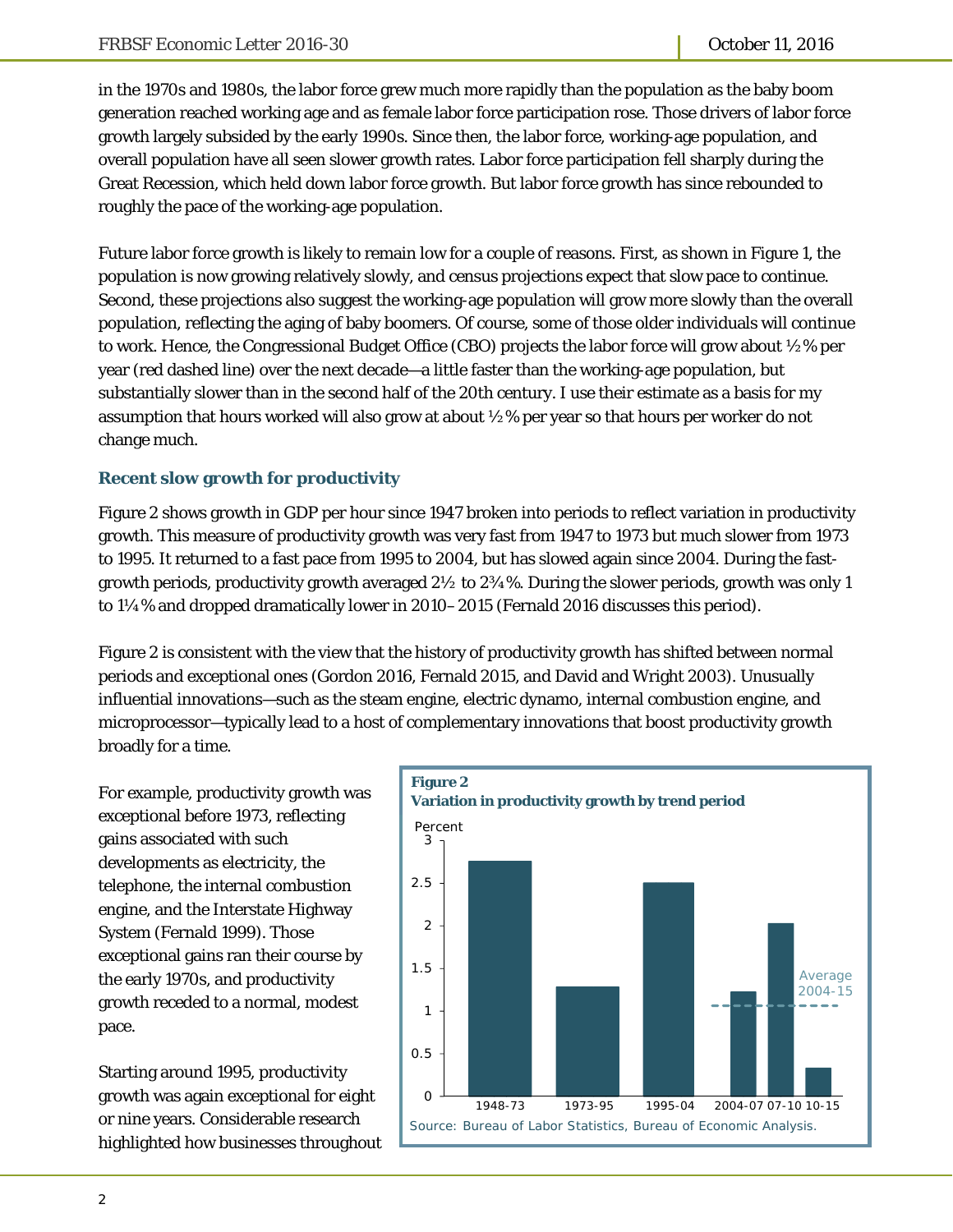in the 1970s and 1980s, the labor force grew much more rapidly than the population as the baby boom generation reached working age and as female labor force participation rose. Those drivers of labor force growth largely subsided by the early 1990s. Since then, the labor force, working-age population, and overall population have all seen slower growth rates. Labor force participation fell sharply during the Great Recession, which held down labor force growth. But labor force growth has since rebounded to roughly the pace of the working-age population.

Future labor force growth is likely to remain low for a couple of reasons. First, as shown in Figure 1, the population is now growing relatively slowly, and census projections expect that slow pace to continue. Second, these projections also suggest the working-age population will grow more slowly than the overall population, reflecting the aging of baby boomers. Of course, some of those older individuals will continue to work. Hence, the Congressional Budget Office (CBO) projects the labor force will grow about ½% per year (red dashed line) over the next decade—a little faster than the working-age population, but substantially slower than in the second half of the 20th century. I use their estimate as a basis for my assumption that hours worked will also grow at about ½% per year so that hours per worker do not change much.

## **Recent slow growth for productivity**

Figure 2 shows growth in GDP per hour since 1947 broken into periods to reflect variation in productivity growth. This measure of productivity growth was very fast from 1947 to 1973 but much slower from 1973 to 1995. It returned to a fast pace from 1995 to 2004, but has slowed again since 2004. During the fastgrowth periods, productivity growth averaged  $2\frac{1}{2}$  to  $2\frac{3}{4}\%$ . During the slower periods, growth was only 1 to 1¼% and dropped dramatically lower in 2010–2015 (Fernald 2016 discusses this period).

Figure 2 is consistent with the view that the history of productivity growth has shifted between normal periods and exceptional ones (Gordon 2016, Fernald 2015, and David and Wright 2003). Unusually influential innovations—such as the steam engine, electric dynamo, internal combustion engine, and microprocessor—typically lead to a host of complementary innovations that boost productivity growth broadly for a time.

For example, productivity growth was exceptional before 1973, reflecting gains associated with such developments as electricity, the telephone, the internal combustion engine, and the Interstate Highway System (Fernald 1999). Those exceptional gains ran their course by the early 1970s, and productivity growth receded to a normal, modest pace.

Starting around 1995, productivity growth was again exceptional for eight or nine years. Considerable research highlighted how businesses throughout

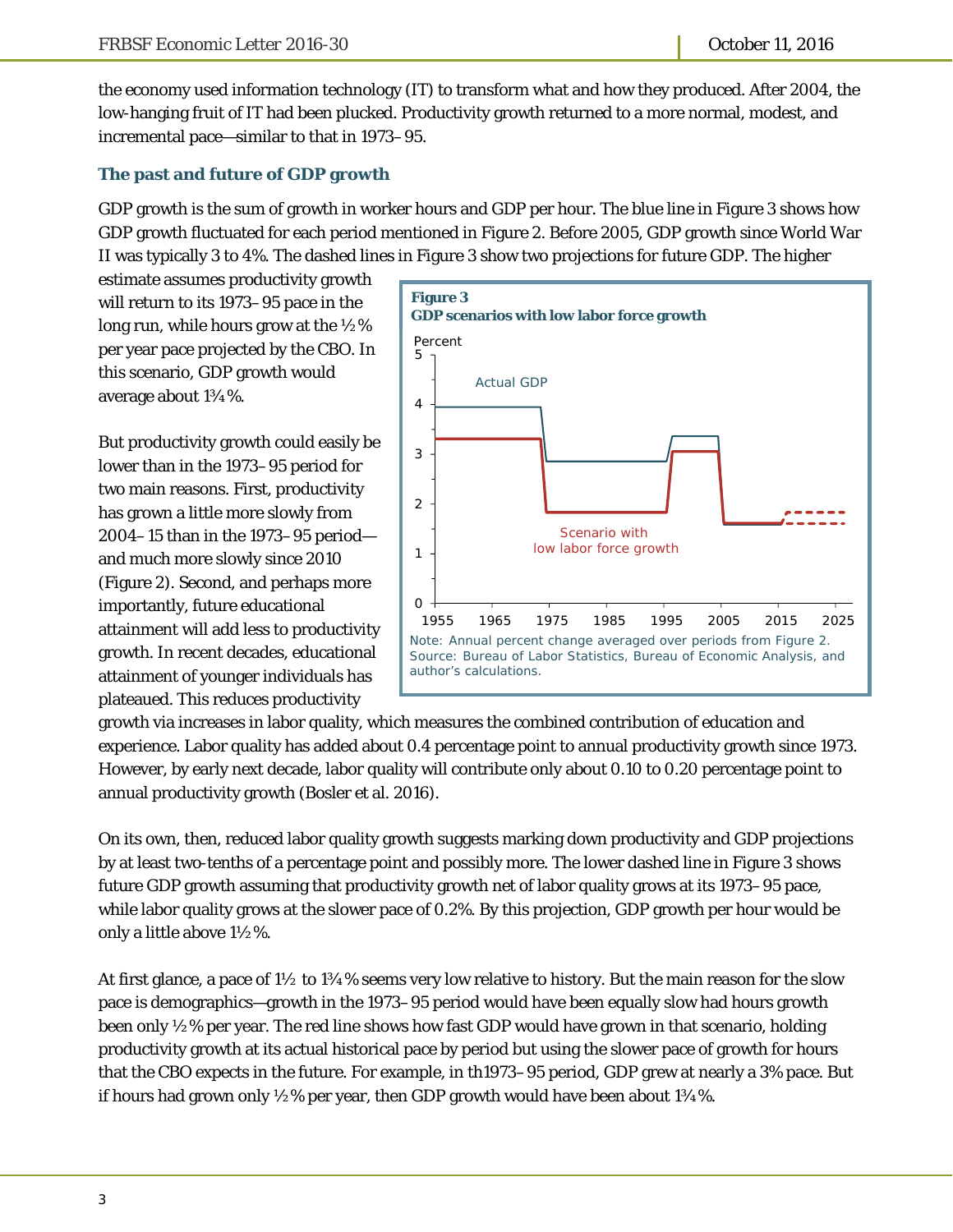the economy used information technology (IT) to transform what and how they produced. After 2004, the low-hanging fruit of IT had been plucked. Productivity growth returned to a more normal, modest, and incremental pace—similar to that in 1973–95.

## **The past and future of GDP growth**

GDP growth is the sum of growth in worker hours and GDP per hour. The blue line in Figure 3 shows how GDP growth fluctuated for each period mentioned in Figure 2. Before 2005, GDP growth since World War II was typically 3 to 4%. The dashed lines in Figure 3 show two projections for future GDP. The higher

estimate assumes productivity growth will return to its 1973–95 pace in the long run, while hours grow at the ½% per year pace projected by the CBO. In this scenario, GDP growth would average about 1¾%.

But productivity growth could easily be lower than in the 1973–95 period for two main reasons. First, productivity has grown a little more slowly from 2004–15 than in the 1973–95 period and much more slowly since 2010 (Figure 2). Second, and perhaps more importantly, future educational attainment will add less to productivity growth. In recent decades, educational attainment of younger individuals has plateaued. This reduces productivity



growth via increases in labor quality, which measures the combined contribution of education and experience. Labor quality has added about 0.4 percentage point to annual productivity growth since 1973. However, by early next decade, labor quality will contribute only about 0.10 to 0.20 percentage point to annual productivity growth (Bosler et al. 2016).

On its own, then, reduced labor quality growth suggests marking down productivity and GDP projections by at least two-tenths of a percentage point and possibly more. The lower dashed line in Figure 3 shows future GDP growth assuming that productivity growth *net* of labor quality grows at its 1973–95 pace, while labor quality grows at the slower pace of 0.2%. By this projection, GDP growth per hour would be only a little above 1½%.

At first glance, a pace of  $1\frac{1}{2}$  to  $1\frac{3}{4}\%$  seems very low relative to history. But the main reason for the slow pace is demographics—growth in the 1973–95 period would have been equally slow had hours growth been only ½% per year. The red line shows how fast GDP would have grown in that scenario, holding productivity growth at its actual historical pace by period but using the slower pace of growth for hours that the CBO expects in the future. For example, in th1973–95 period, GDP grew at nearly a 3% pace. But if hours had grown only  $\frac{1}{2}$ % per year, then GDP growth would have been about 1 $\frac{3}{4}$ %.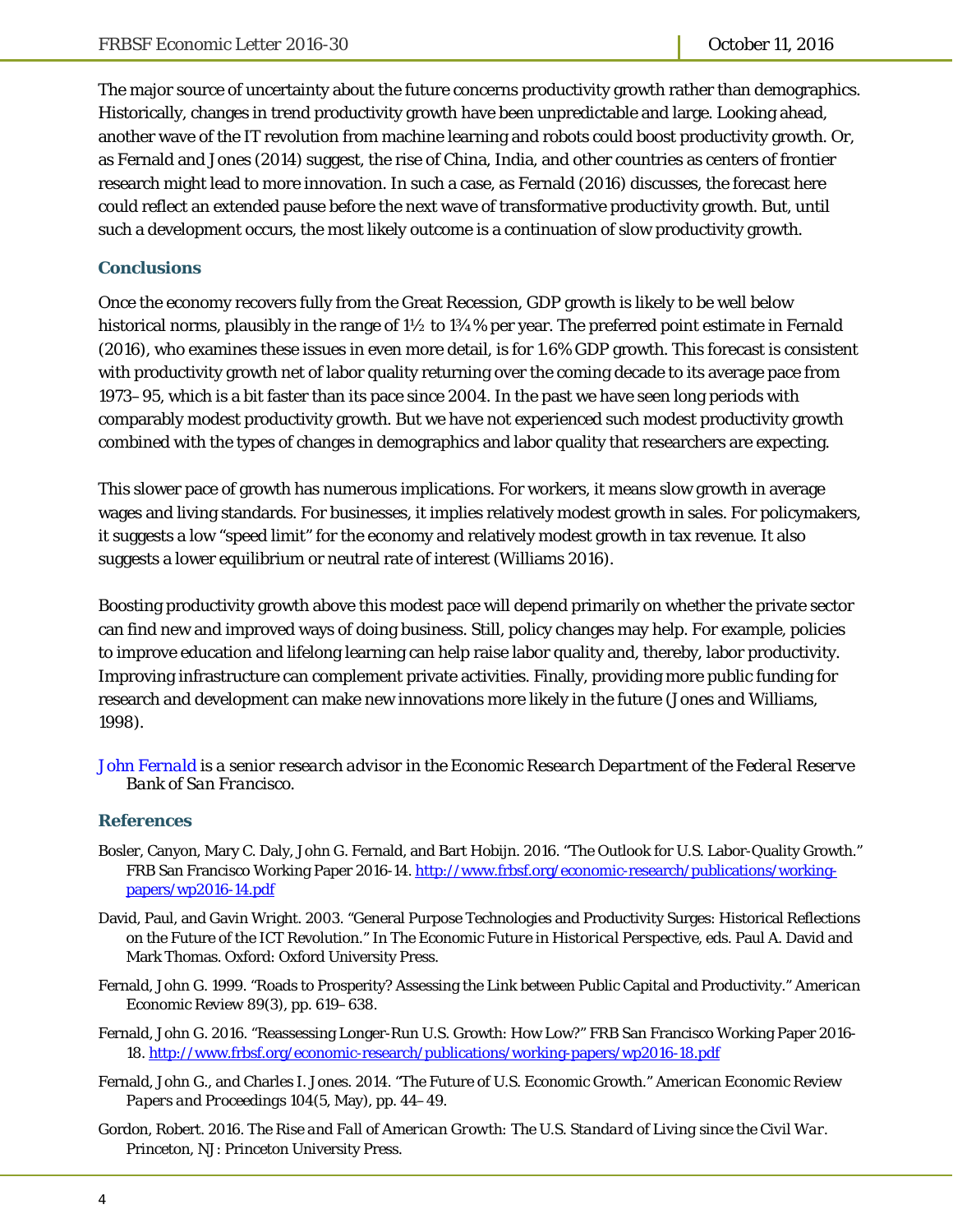The major source of uncertainty about the future concerns productivity growth rather than demographics. Historically, changes in trend productivity growth have been unpredictable and large. Looking ahead, another wave of the IT revolution from machine learning and robots could boost productivity growth. Or, as Fernald and Jones (2014) suggest, the rise of China, India, and other countries as centers of frontier research might lead to more innovation. In such a case, as Fernald (2016) discusses, the forecast here could reflect an extended pause before the next wave of transformative productivity growth. But, until such a development occurs, the most likely outcome is a continuation of slow productivity growth.

#### **Conclusions**

Once the economy recovers fully from the Great Recession, GDP growth is likely to be well below historical norms, plausibly in the range of 1½ to 1¾% per year. The preferred point estimate in Fernald (2016), who examines these issues in even more detail, is for 1.6% GDP growth. This forecast is consistent with productivity growth net of labor quality returning over the coming decade to its average pace from 1973–95, which is a bit faster than its pace since 2004. In the past we have seen long periods with comparably modest productivity growth. But we have not experienced such modest productivity growth combined with the types of changes in demographics and labor quality that researchers are expecting.

This slower pace of growth has numerous implications. For workers, it means slow growth in average wages and living standards. For businesses, it implies relatively modest growth in sales. For policymakers, it suggests a low "speed limit" for the economy and relatively modest growth in tax revenue. It also suggests a lower equilibrium or neutral rate of interest (Williams 2016).

Boosting productivity growth above this modest pace will depend primarily on whether the private sector can find new and improved ways of doing business. Still, policy changes may help. For example, policies to improve education and lifelong learning can help raise labor quality and, thereby, labor productivity. Improving infrastructure can complement private activities. Finally, providing more public funding for research and development can make new innovations more likely in the future (Jones and Williams, 1998).

*[John Fernald is](http://www.frbsf.org/economic-research/economists/john-fernald/) a senior research advisor in the Economic Research Department of the Federal Reserve Bank of San Francisco.* 

#### **References**

- Bosler, Canyon, Mary C. Daly, John G. Fernald, and Bart Hobijn. 2016. "The Outlook for U.S. Labor-Quality Growth." FRB San Francisco Working Paper 2016-14. http://www.frbsf.org/economic-research/publications/workingpapers/wp2016-14.pdf
- David, Paul, and Gavin Wright. 2003. "General Purpose Technologies and Productivity Surges: Historical Reflections on the Future of the ICT Revolution." In *The Economic Future in Historical Perspective*, eds. Paul A. David and Mark Thomas. Oxford: Oxford University Press.
- Fernald, John G. 1999. "Roads to Prosperity? Assessing the Link between Public Capital and Productivity." *American Economic Review* 89(3), pp. 619–638.
- Fernald, John G. 2016. "Reassessing Longer-Run U.S. Growth: How Low?" FRB San Francisco Working Paper 2016- 18. http://www.frbsf.org/economic-research/publications/working-papers/wp2016-18.pdf
- Fernald, John G., and Charles I. Jones. 2014. "The Future of U.S. Economic Growth." *American Economic Review Papers and Proceedings* 104(5, May), pp. 44–49.
- Gordon, Robert. 2016. *The Rise and Fall of American Growth: The U.S. Standard of Living since the Civil War*. Princeton, NJ: Princeton University Press.